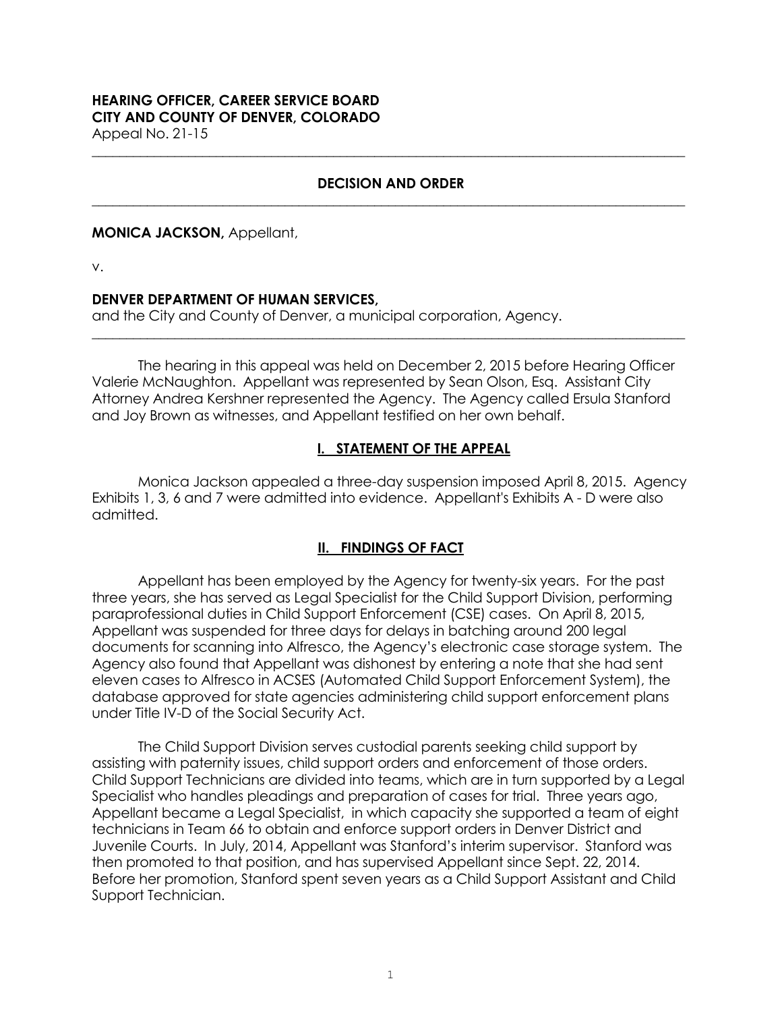# **HEARING OFFICER, CAREER SERVICE BOARD CITY AND COUNTY OF DENVER, COLORADO**

Appeal No. 21-15

#### **DECISION AND ORDER \_\_\_\_\_\_\_\_\_\_\_\_\_\_\_\_\_\_\_\_\_\_\_\_\_\_\_\_\_\_\_\_\_\_\_\_\_\_\_\_\_\_\_\_\_\_\_\_\_\_\_\_\_\_\_\_\_\_\_\_\_\_\_\_\_\_\_\_\_\_\_\_\_\_\_\_\_\_\_\_\_\_\_\_\_\_**

**\_\_\_\_\_\_\_\_\_\_\_\_\_\_\_\_\_\_\_\_\_\_\_\_\_\_\_\_\_\_\_\_\_\_\_\_\_\_\_\_\_\_\_\_\_\_\_\_\_\_\_\_\_\_\_\_\_\_\_\_\_\_\_\_\_\_\_\_\_\_\_\_\_\_\_\_\_\_\_\_\_\_\_\_\_\_**

#### **MONICA JACKSON,** Appellant,

v.

#### **DENVER DEPARTMENT OF HUMAN SERVICES,**

and the City and County of Denver, a municipal corporation, Agency.

The hearing in this appeal was held on December 2, 2015 before Hearing Officer Valerie McNaughton. Appellant was represented by Sean Olson, Esq. Assistant City Attorney Andrea Kershner represented the Agency. The Agency called Ersula Stanford and Joy Brown as witnesses, and Appellant testified on her own behalf.

**\_\_\_\_\_\_\_\_\_\_\_\_\_\_\_\_\_\_\_\_\_\_\_\_\_\_\_\_\_\_\_\_\_\_\_\_\_\_\_\_\_\_\_\_\_\_\_\_\_\_\_\_\_\_\_\_\_\_\_\_\_\_\_\_\_\_\_\_\_\_\_\_\_\_\_\_\_\_\_\_\_\_\_\_\_\_**

### **I. STATEMENT OF THE APPEAL**

Monica Jackson appealed a three-day suspension imposed April 8, 2015. Agency Exhibits 1, 3, 6 and 7 were admitted into evidence. Appellant's Exhibits A - D were also admitted.

# **II. FINDINGS OF FACT**

Appellant has been employed by the Agency for twenty-six years. For the past three years, she has served as Legal Specialist for the Child Support Division, performing paraprofessional duties in Child Support Enforcement (CSE) cases. On April 8, 2015, Appellant was suspended for three days for delays in batching around 200 legal documents for scanning into Alfresco, the Agency's electronic case storage system. The Agency also found that Appellant was dishonest by entering a note that she had sent eleven cases to Alfresco in ACSES (Automated Child Support Enforcement System), the database approved for state agencies administering child support enforcement plans under Title IV-D of the Social Security Act.

The Child Support Division serves custodial parents seeking child support by assisting with paternity issues, child support orders and enforcement of those orders. Child Support Technicians are divided into teams, which are in turn supported by a Legal Specialist who handles pleadings and preparation of cases for trial. Three years ago, Appellant became a Legal Specialist, in which capacity she supported a team of eight technicians in Team 66 to obtain and enforce support orders in Denver District and Juvenile Courts. In July, 2014, Appellant was Stanford's interim supervisor. Stanford was then promoted to that position, and has supervised Appellant since Sept. 22, 2014. Before her promotion, Stanford spent seven years as a Child Support Assistant and Child Support Technician.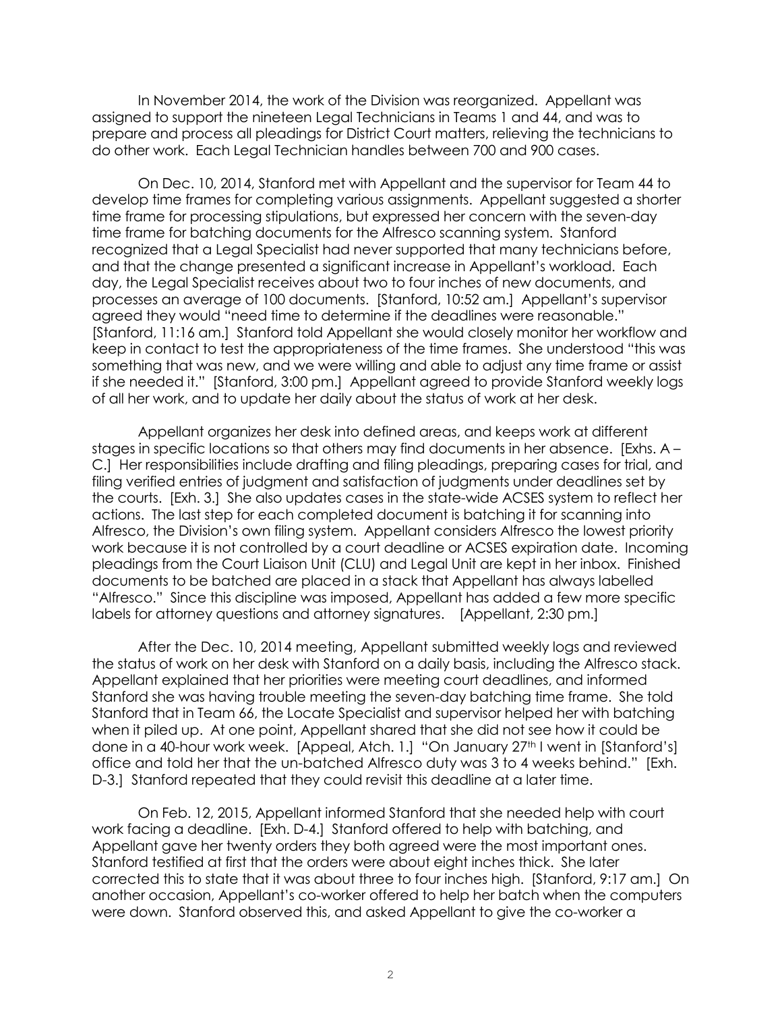In November 2014, the work of the Division was reorganized. Appellant was assigned to support the nineteen Legal Technicians in Teams 1 and 44, and was to prepare and process all pleadings for District Court matters, relieving the technicians to do other work. Each Legal Technician handles between 700 and 900 cases.

On Dec. 10, 2014, Stanford met with Appellant and the supervisor for Team 44 to develop time frames for completing various assignments. Appellant suggested a shorter time frame for processing stipulations, but expressed her concern with the seven-day time frame for batching documents for the Alfresco scanning system. Stanford recognized that a Legal Specialist had never supported that many technicians before, and that the change presented a significant increase in Appellant's workload. Each day, the Legal Specialist receives about two to four inches of new documents, and processes an average of 100 documents. [Stanford, 10:52 am.] Appellant's supervisor agreed they would "need time to determine if the deadlines were reasonable." [Stanford, 11:16 am.] Stanford told Appellant she would closely monitor her workflow and keep in contact to test the appropriateness of the time frames. She understood "this was something that was new, and we were willing and able to adjust any time frame or assist if she needed it." [Stanford, 3:00 pm.] Appellant agreed to provide Stanford weekly logs of all her work, and to update her daily about the status of work at her desk.

Appellant organizes her desk into defined areas, and keeps work at different stages in specific locations so that others may find documents in her absence. [Exhs. A – C.] Her responsibilities include drafting and filing pleadings, preparing cases for trial, and filing verified entries of judgment and satisfaction of judgments under deadlines set by the courts. [Exh. 3.] She also updates cases in the state-wide ACSES system to reflect her actions. The last step for each completed document is batching it for scanning into Alfresco, the Division's own filing system. Appellant considers Alfresco the lowest priority work because it is not controlled by a court deadline or ACSES expiration date. Incoming pleadings from the Court Liaison Unit (CLU) and Legal Unit are kept in her inbox. Finished documents to be batched are placed in a stack that Appellant has always labelled "Alfresco." Since this discipline was imposed, Appellant has added a few more specific labels for attorney questions and attorney signatures. [Appellant, 2:30 pm.]

After the Dec. 10, 2014 meeting, Appellant submitted weekly logs and reviewed the status of work on her desk with Stanford on a daily basis, including the Alfresco stack. Appellant explained that her priorities were meeting court deadlines, and informed Stanford she was having trouble meeting the seven-day batching time frame. She told Stanford that in Team 66, the Locate Specialist and supervisor helped her with batching when it piled up. At one point, Appellant shared that she did not see how it could be done in a 40-hour work week. [Appeal, Atch. 1.] "On January 27<sup>th</sup> I went in [Stanford's] office and told her that the un-batched Alfresco duty was 3 to 4 weeks behind." [Exh. D-3.] Stanford repeated that they could revisit this deadline at a later time.

On Feb. 12, 2015, Appellant informed Stanford that she needed help with court work facing a deadline. [Exh. D-4.] Stanford offered to help with batching, and Appellant gave her twenty orders they both agreed were the most important ones. Stanford testified at first that the orders were about eight inches thick. She later corrected this to state that it was about three to four inches high. [Stanford, 9:17 am.] On another occasion, Appellant's co-worker offered to help her batch when the computers were down. Stanford observed this, and asked Appellant to give the co-worker a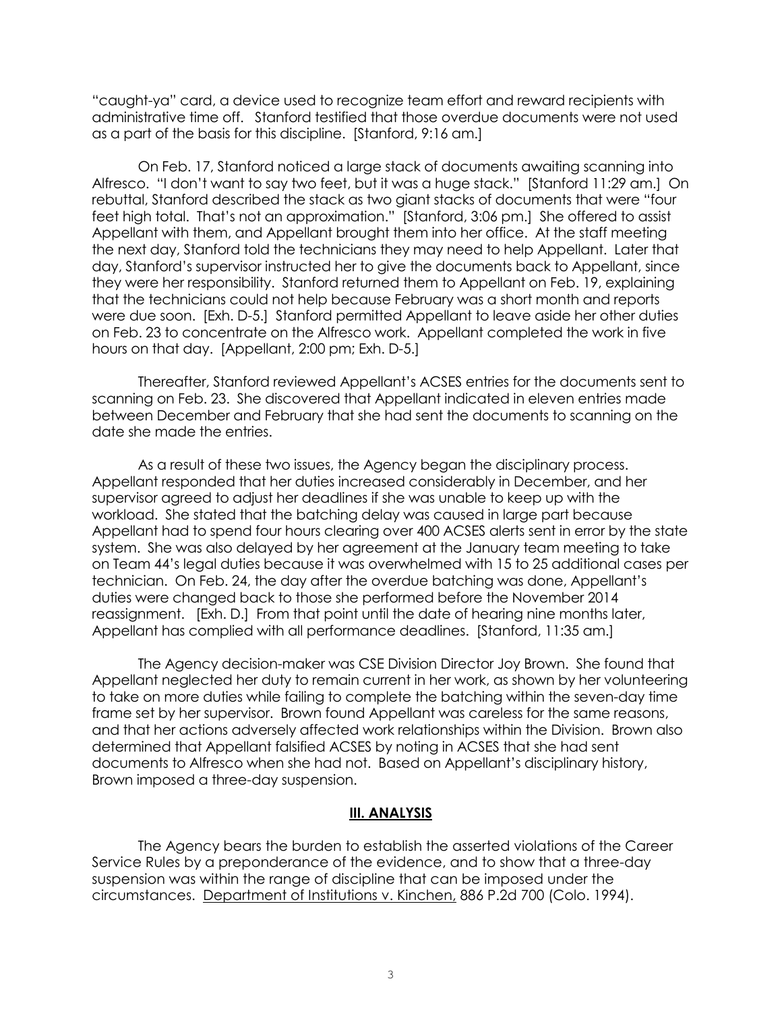"caught-ya" card, a device used to recognize team effort and reward recipients with administrative time off. Stanford testified that those overdue documents were not used as a part of the basis for this discipline. [Stanford, 9:16 am.]

On Feb. 17, Stanford noticed a large stack of documents awaiting scanning into Alfresco. "I don't want to say two feet, but it was a huge stack." [Stanford 11:29 am.] On rebuttal, Stanford described the stack as two giant stacks of documents that were "four feet high total. That's not an approximation." [Stanford, 3:06 pm.] She offered to assist Appellant with them, and Appellant brought them into her office. At the staff meeting the next day, Stanford told the technicians they may need to help Appellant. Later that day, Stanford's supervisor instructed her to give the documents back to Appellant, since they were her responsibility. Stanford returned them to Appellant on Feb. 19, explaining that the technicians could not help because February was a short month and reports were due soon. [Exh. D-5.] Stanford permitted Appellant to leave aside her other duties on Feb. 23 to concentrate on the Alfresco work. Appellant completed the work in five hours on that day. [Appellant, 2:00 pm; Exh. D-5.]

Thereafter, Stanford reviewed Appellant's ACSES entries for the documents sent to scanning on Feb. 23. She discovered that Appellant indicated in eleven entries made between December and February that she had sent the documents to scanning on the date she made the entries.

As a result of these two issues, the Agency began the disciplinary process. Appellant responded that her duties increased considerably in December, and her supervisor agreed to adjust her deadlines if she was unable to keep up with the workload. She stated that the batching delay was caused in large part because Appellant had to spend four hours clearing over 400 ACSES alerts sent in error by the state system. She was also delayed by her agreement at the January team meeting to take on Team 44's legal duties because it was overwhelmed with 15 to 25 additional cases per technician. On Feb. 24, the day after the overdue batching was done, Appellant's duties were changed back to those she performed before the November 2014 reassignment. [Exh. D.] From that point until the date of hearing nine months later, Appellant has complied with all performance deadlines. [Stanford, 11:35 am.]

The Agency decision-maker was CSE Division Director Joy Brown. She found that Appellant neglected her duty to remain current in her work, as shown by her volunteering to take on more duties while failing to complete the batching within the seven-day time frame set by her supervisor. Brown found Appellant was careless for the same reasons, and that her actions adversely affected work relationships within the Division. Brown also determined that Appellant falsified ACSES by noting in ACSES that she had sent documents to Alfresco when she had not. Based on Appellant's disciplinary history, Brown imposed a three-day suspension.

#### **III. ANALYSIS**

The Agency bears the burden to establish the asserted violations of the Career Service Rules by a preponderance of the evidence, and to show that a three-day suspension was within the range of discipline that can be imposed under the circumstances. Department of Institutions v. Kinchen, 886 P.2d 700 (Colo. 1994).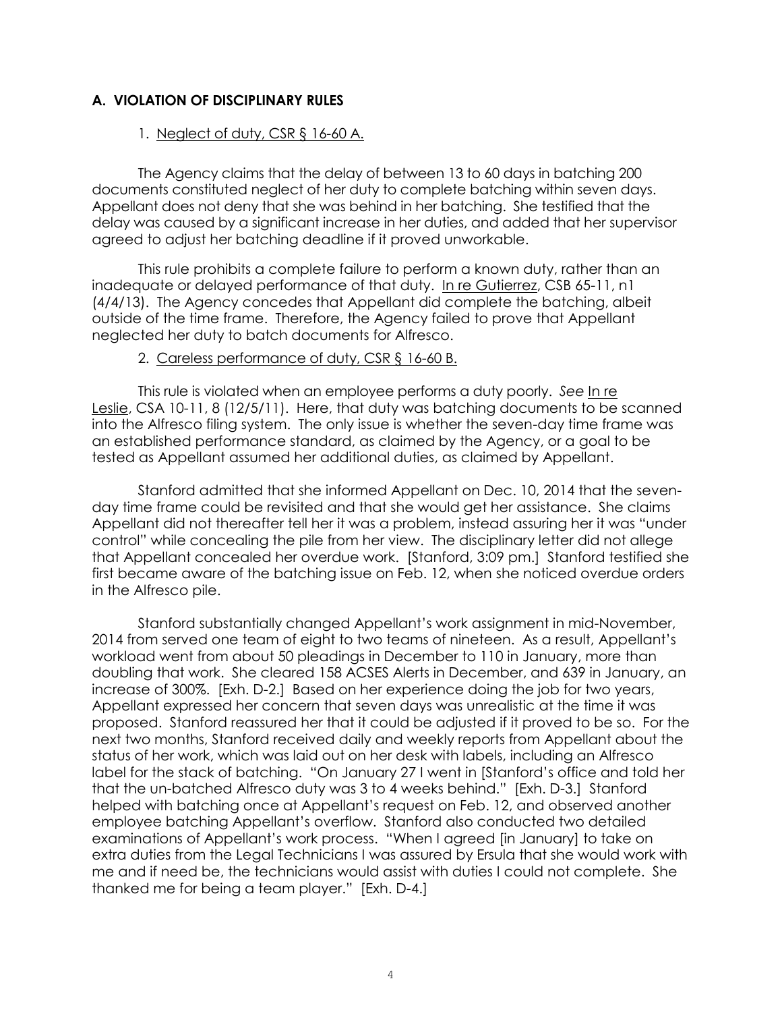# **A. VIOLATION OF DISCIPLINARY RULES**

#### 1. Neglect of duty, CSR § 16-60 A.

The Agency claims that the delay of between 13 to 60 days in batching 200 documents constituted neglect of her duty to complete batching within seven days. Appellant does not deny that she was behind in her batching. She testified that the delay was caused by a significant increase in her duties, and added that her supervisor agreed to adjust her batching deadline if it proved unworkable.

This rule prohibits a complete failure to perform a known duty, rather than an inadequate or delayed performance of that duty. [In re Gutierrez,](https://www.denvergov.org/content/dam/denvergov/Portals/671/documents/Hearings/Gutierrez_Silver_65-11_Decision.pdf) CSB 65-11, n1 (4/4/13). The Agency concedes that Appellant did complete the batching, albeit outside of the time frame. Therefore, the Agency failed to prove that Appellant neglected her duty to batch documents for Alfresco.

#### 2. Careless performance of duty, CSR § 16-60 B.

This rule is violated when an employee performs a duty poorly. *See* [In re](http://www.denvergov.org/content/dam/denvergov/Portals/hearings_office/documents/Hearings/Leslie_Bonnie_10-11_Decision.pdf)  [Leslie,](http://www.denvergov.org/content/dam/denvergov/Portals/hearings_office/documents/Hearings/Leslie_Bonnie_10-11_Decision.pdf) CSA 10-11, 8 (12/5/11). Here, that duty was batching documents to be scanned into the Alfresco filing system. The only issue is whether the seven-day time frame was an established performance standard, as claimed by the Agency, or a goal to be tested as Appellant assumed her additional duties, as claimed by Appellant.

Stanford admitted that she informed Appellant on Dec. 10, 2014 that the sevenday time frame could be revisited and that she would get her assistance. She claims Appellant did not thereafter tell her it was a problem, instead assuring her it was "under control" while concealing the pile from her view. The disciplinary letter did not allege that Appellant concealed her overdue work. [Stanford, 3:09 pm.] Stanford testified she first became aware of the batching issue on Feb. 12, when she noticed overdue orders in the Alfresco pile.

Stanford substantially changed Appellant's work assignment in mid-November, 2014 from served one team of eight to two teams of nineteen. As a result, Appellant's workload went from about 50 pleadings in December to 110 in January, more than doubling that work. She cleared 158 ACSES Alerts in December, and 639 in January, an increase of 300%. [Exh. D-2.] Based on her experience doing the job for two years, Appellant expressed her concern that seven days was unrealistic at the time it was proposed. Stanford reassured her that it could be adjusted if it proved to be so. For the next two months, Stanford received daily and weekly reports from Appellant about the status of her work, which was laid out on her desk with labels, including an Alfresco label for the stack of batching. "On January 27 I went in [Stanford's office and told her that the un-batched Alfresco duty was 3 to 4 weeks behind." [Exh. D-3.] Stanford helped with batching once at Appellant's request on Feb. 12, and observed another employee batching Appellant's overflow. Stanford also conducted two detailed examinations of Appellant's work process. "When I agreed [in January] to take on extra duties from the Legal Technicians I was assured by Ersula that she would work with me and if need be, the technicians would assist with duties I could not complete. She thanked me for being a team player." [Exh. D-4.]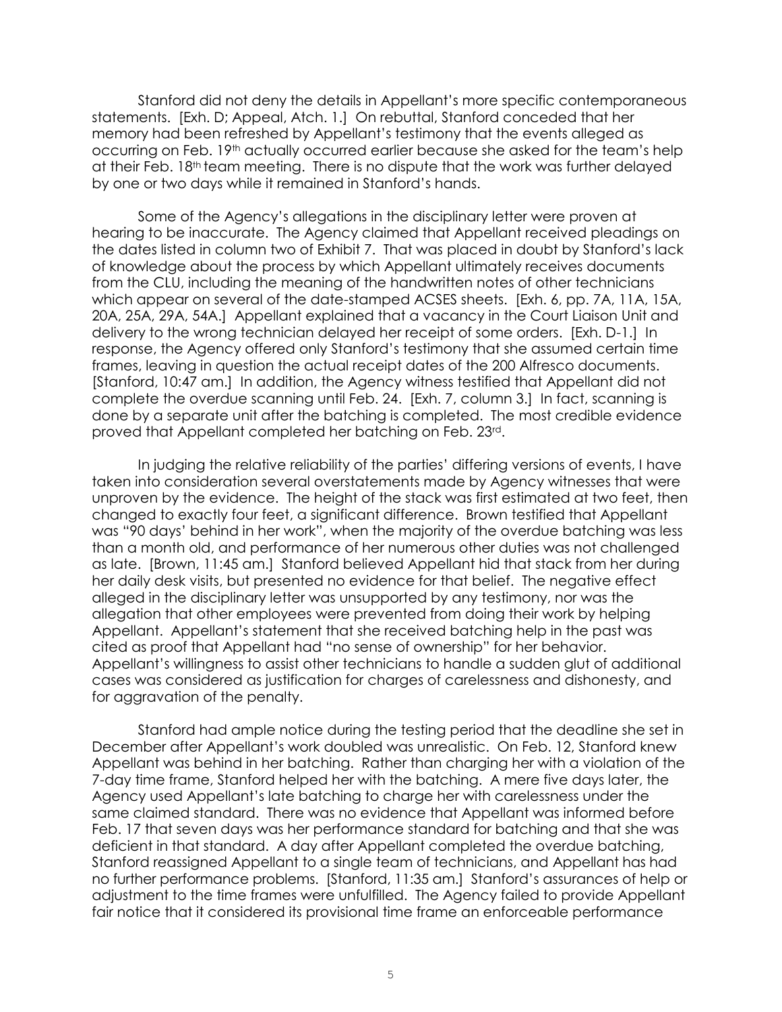Stanford did not deny the details in Appellant's more specific contemporaneous statements. [Exh. D; Appeal, Atch. 1.] On rebuttal, Stanford conceded that her memory had been refreshed by Appellant's testimony that the events alleged as occurring on Feb. 19<sup>th</sup> actually occurred earlier because she asked for the team's help at their Feb. 18th team meeting. There is no dispute that the work was further delayed by one or two days while it remained in Stanford's hands.

Some of the Agency's allegations in the disciplinary letter were proven at hearing to be inaccurate. The Agency claimed that Appellant received pleadings on the dates listed in column two of Exhibit 7. That was placed in doubt by Stanford's lack of knowledge about the process by which Appellant ultimately receives documents from the CLU, including the meaning of the handwritten notes of other technicians which appear on several of the date-stamped ACSES sheets. [Exh. 6, pp. 7A, 11A, 15A, 20A, 25A, 29A, 54A.] Appellant explained that a vacancy in the Court Liaison Unit and delivery to the wrong technician delayed her receipt of some orders. [Exh. D-1.] In response, the Agency offered only Stanford's testimony that she assumed certain time frames, leaving in question the actual receipt dates of the 200 Alfresco documents. [Stanford, 10:47 am.] In addition, the Agency witness testified that Appellant did not complete the overdue scanning until Feb. 24. [Exh. 7, column 3.] In fact, scanning is done by a separate unit after the batching is completed. The most credible evidence proved that Appellant completed her batching on Feb. 23rd.

In judging the relative reliability of the parties' differing versions of events, I have taken into consideration several overstatements made by Agency witnesses that were unproven by the evidence. The height of the stack was first estimated at two feet, then changed to exactly four feet, a significant difference. Brown testified that Appellant was "90 days' behind in her work", when the majority of the overdue batching was less than a month old, and performance of her numerous other duties was not challenged as late. [Brown, 11:45 am.] Stanford believed Appellant hid that stack from her during her daily desk visits, but presented no evidence for that belief. The negative effect alleged in the disciplinary letter was unsupported by any testimony, nor was the allegation that other employees were prevented from doing their work by helping Appellant. Appellant's statement that she received batching help in the past was cited as proof that Appellant had "no sense of ownership" for her behavior. Appellant's willingness to assist other technicians to handle a sudden glut of additional cases was considered as justification for charges of carelessness and dishonesty, and for aggravation of the penalty.

Stanford had ample notice during the testing period that the deadline she set in December after Appellant's work doubled was unrealistic. On Feb. 12, Stanford knew Appellant was behind in her batching. Rather than charging her with a violation of the 7-day time frame, Stanford helped her with the batching. A mere five days later, the Agency used Appellant's late batching to charge her with carelessness under the same claimed standard. There was no evidence that Appellant was informed before Feb. 17 that seven days was her performance standard for batching and that she was deficient in that standard. A day after Appellant completed the overdue batching, Stanford reassigned Appellant to a single team of technicians, and Appellant has had no further performance problems. [Stanford, 11:35 am.] Stanford's assurances of help or adjustment to the time frames were unfulfilled. The Agency failed to provide Appellant fair notice that it considered its provisional time frame an enforceable performance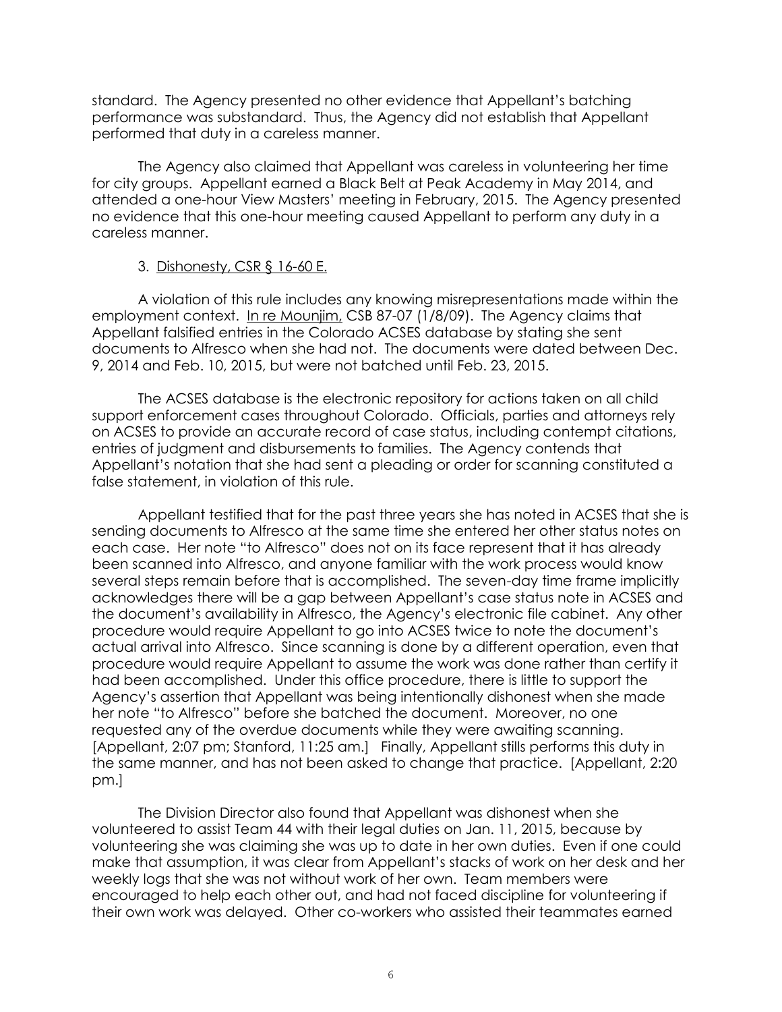standard. The Agency presented no other evidence that Appellant's batching performance was substandard. Thus, the Agency did not establish that Appellant performed that duty in a careless manner.

The Agency also claimed that Appellant was careless in volunteering her time for city groups. Appellant earned a Black Belt at Peak Academy in May 2014, and attended a one-hour View Masters' meeting in February, 2015. The Agency presented no evidence that this one-hour meeting caused Appellant to perform any duty in a careless manner.

### 3. Dishonesty, CSR § 16-60 E.

A violation of this rule includes any knowing misrepresentations made within the employment context. [In re M](https://www.denvergov.org/content/dam/denvergov/Portals/671/documents/Hearings/Rodriguez_Angela_12-10_Decision.pdf)ounjim, CSB 87-07 (1/8/09). The Agency claims that Appellant falsified entries in the Colorado ACSES database by stating she sent documents to Alfresco when she had not. The documents were dated between Dec. 9, 2014 and Feb. 10, 2015, but were not batched until Feb. 23, 2015.

The ACSES database is the electronic repository for actions taken on all child support enforcement cases throughout Colorado. Officials, parties and attorneys rely on ACSES to provide an accurate record of case status, including contempt citations, entries of judgment and disbursements to families. The Agency contends that Appellant's notation that she had sent a pleading or order for scanning constituted a false statement, in violation of this rule.

Appellant testified that for the past three years she has noted in ACSES that she is sending documents to Alfresco at the same time she entered her other status notes on each case. Her note "to Alfresco" does not on its face represent that it has already been scanned into Alfresco, and anyone familiar with the work process would know several steps remain before that is accomplished. The seven-day time frame implicitly acknowledges there will be a gap between Appellant's case status note in ACSES and the document's availability in Alfresco, the Agency's electronic file cabinet. Any other procedure would require Appellant to go into ACSES twice to note the document's actual arrival into Alfresco. Since scanning is done by a different operation, even that procedure would require Appellant to assume the work was done rather than certify it had been accomplished. Under this office procedure, there is little to support the Agency's assertion that Appellant was being intentionally dishonest when she made her note "to Alfresco" before she batched the document. Moreover, no one requested any of the overdue documents while they were awaiting scanning. [Appellant, 2:07 pm; Stanford, 11:25 am.] Finally, Appellant stills performs this duty in the same manner, and has not been asked to change that practice. [Appellant, 2:20 pm.]

The Division Director also found that Appellant was dishonest when she volunteered to assist Team 44 with their legal duties on Jan. 11, 2015, because by volunteering she was claiming she was up to date in her own duties. Even if one could make that assumption, it was clear from Appellant's stacks of work on her desk and her weekly logs that she was not without work of her own. Team members were encouraged to help each other out, and had not faced discipline for volunteering if their own work was delayed. Other co-workers who assisted their teammates earned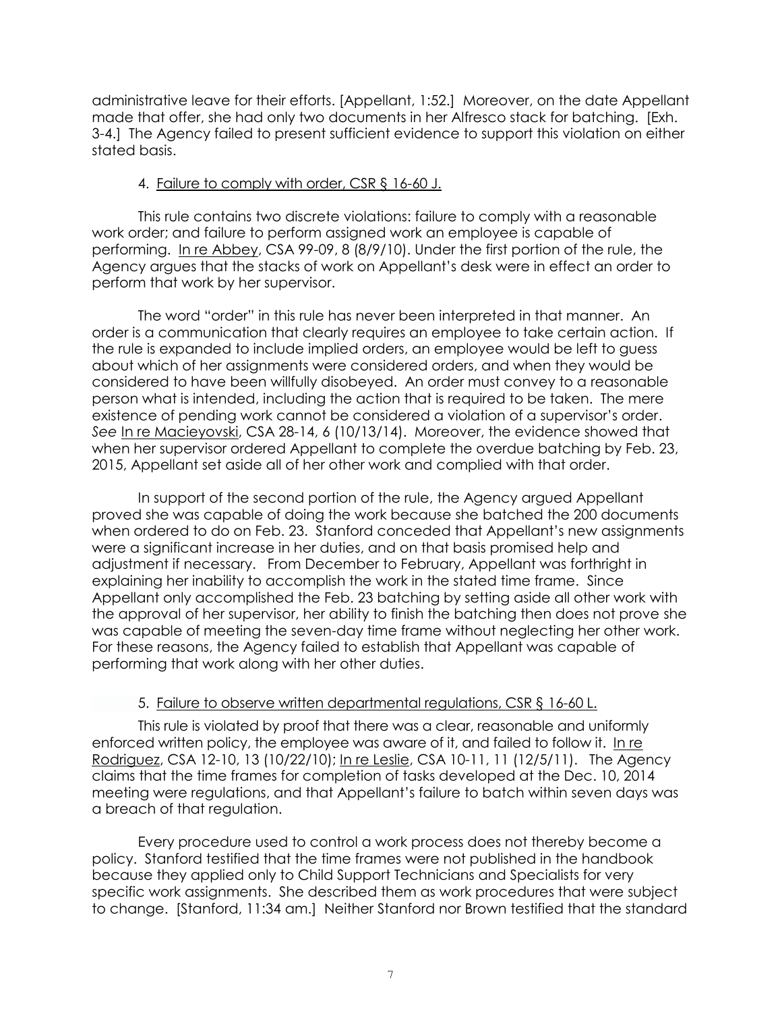administrative leave for their efforts. [Appellant, 1:52.] Moreover, on the date Appellant made that offer, she had only two documents in her Alfresco stack for batching. [Exh. 3-4.] The Agency failed to present sufficient evidence to support this violation on either stated basis.

### 4. Failure to comply with order, CSR § 16-60 J.

This rule contains two discrete violations: failure to comply with a reasonable work order; and failure to perform assigned work an employee is capable of performing. [In re Abbey,](http://www.denvergov.org/content/dam/denvergov/Portals/hearings_office/documents/Hearings/Abbey_Theophilus_99-09_Decision.pdf) CSA 99-09, 8 (8/9/10). Under the first portion of the rule, the Agency argues that the stacks of work on Appellant's desk were in effect an order to perform that work by her supervisor.

The word "order" in this rule has never been interpreted in that manner. An order is a communication that clearly requires an employee to take certain action. If the rule is expanded to include implied orders, an employee would be left to guess about which of her assignments were considered orders, and when they would be considered to have been willfully disobeyed. An order must convey to a reasonable person what is intended, including the action that is required to be taken. The mere existence of pending work cannot be considered a violation of a supervisor's order. *See* [In re Macieyovski,](http://www.denvergov.org/content/dam/denvergov/Portals/hearings_office/documents/Hearings/Macieyovski_Vincent_28-14_Decision_and_Order.pdf) CSA 28-14, 6 (10/13/14). Moreover, the evidence showed that when her supervisor ordered Appellant to complete the overdue batching by Feb. 23, 2015, Appellant set aside all of her other work and complied with that order.

In support of the second portion of the rule, the Agency argued Appellant proved she was capable of doing the work because she batched the 200 documents when ordered to do on Feb. 23. Stanford conceded that Appellant's new assignments were a significant increase in her duties, and on that basis promised help and adjustment if necessary. From December to February, Appellant was forthright in explaining her inability to accomplish the work in the stated time frame. Since Appellant only accomplished the Feb. 23 batching by setting aside all other work with the approval of her supervisor, her ability to finish the batching then does not prove she was capable of meeting the seven-day time frame without neglecting her other work. For these reasons, the Agency failed to establish that Appellant was capable of performing that work along with her other duties.

# 5. Failure to observe written departmental regulations, CSR § 16-60 L.

This rule is violated by proof that there was a clear, reasonable and uniformly enforced written policy, the employee was aware of it, and failed to follow it. [In re](http://www.denvergov.org/Portals/671/documents/Hearings/Rodriguez_Angela_12-10_Decision.pdf)  [Rodriguez,](http://www.denvergov.org/Portals/671/documents/Hearings/Rodriguez_Angela_12-10_Decision.pdf) CSA 12-10, 13 (10/22/10); [In re Leslie,](http://www.denvergov.org/content/dam/denvergov/Portals/hearings_office/documents/Hearings/Leslie_Bonnie_10-11_Decision.pdf) CSA 10-11, 11 (12/5/11). The Agency claims that the time frames for completion of tasks developed at the Dec. 10, 2014 meeting were regulations, and that Appellant's failure to batch within seven days was a breach of that regulation.

Every procedure used to control a work process does not thereby become a policy. Stanford testified that the time frames were not published in the handbook because they applied only to Child Support Technicians and Specialists for very specific work assignments. She described them as work procedures that were subject to change. [Stanford, 11:34 am.] Neither Stanford nor Brown testified that the standard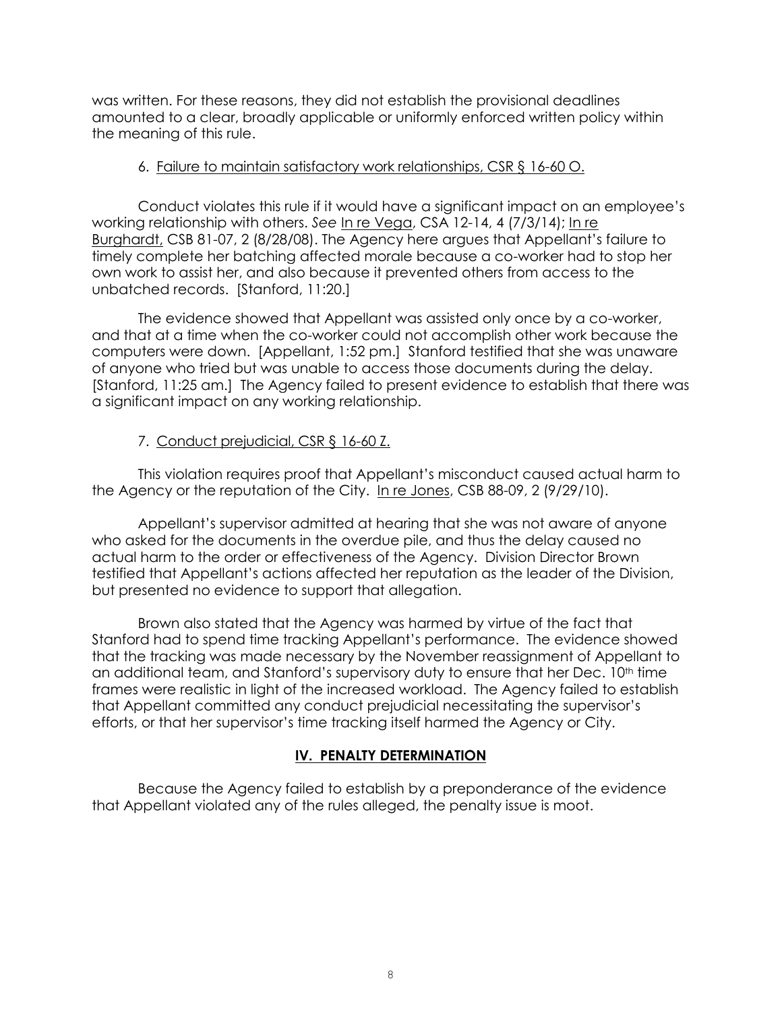was written. For these reasons, they did not establish the provisional deadlines amounted to a clear, broadly applicable or uniformly enforced written policy within the meaning of this rule.

### 6. Failure to maintain satisfactory work relationships, CSR § 16-60 O.

Conduct violates this rule if it would have a significant impact on an employee's working relationship with others. *See* [In re Vega,](http://www.denvergov.org/content/dam/denvergov/Portals/hearings_office/documents/Hearings/Vega_Orlando_12-14_Decision.pdf) CSA 12-14, 4 (7/3/14); [In re](http://www.denvergov.org/Portals/671/documents/Hearings/Burghardt_81-07_Board%208-28-2008.pdf)  [Burghardt,](http://www.denvergov.org/Portals/671/documents/Hearings/Burghardt_81-07_Board%208-28-2008.pdf) CSB 81-07, 2 (8/28/08). The Agency here argues that Appellant's failure to timely complete her batching affected morale because a co-worker had to stop her own work to assist her, and also because it prevented others from access to the unbatched records. [Stanford, 11:20.]

The evidence showed that Appellant was assisted only once by a co-worker, and that at a time when the co-worker could not accomplish other work because the computers were down. [Appellant, 1:52 pm.] Stanford testified that she was unaware of anyone who tried but was unable to access those documents during the delay. [Stanford, 11:25 am.] The Agency failed to present evidence to establish that there was a significant impact on any working relationship.

# 7. Conduct prejudicial, CSR § 16-60 Z.

This violation requires proof that Appellant's misconduct caused actual harm to the Agency or the reputation of the City. In re Jones, CSB 88-09, 2 (9/29/10).

Appellant's supervisor admitted at hearing that she was not aware of anyone who asked for the documents in the overdue pile, and thus the delay caused no actual harm to the order or effectiveness of the Agency. Division Director Brown testified that Appellant's actions affected her reputation as the leader of the Division, but presented no evidence to support that allegation.

Brown also stated that the Agency was harmed by virtue of the fact that Stanford had to spend time tracking Appellant's performance. The evidence showed that the tracking was made necessary by the November reassignment of Appellant to an additional team, and Stanford's supervisory duty to ensure that her Dec. 10<sup>th</sup> time frames were realistic in light of the increased workload. The Agency failed to establish that Appellant committed any conduct prejudicial necessitating the supervisor's efforts, or that her supervisor's time tracking itself harmed the Agency or City.

# **IV. PENALTY DETERMINATION**

Because the Agency failed to establish by a preponderance of the evidence that Appellant violated any of the rules alleged, the penalty issue is moot.